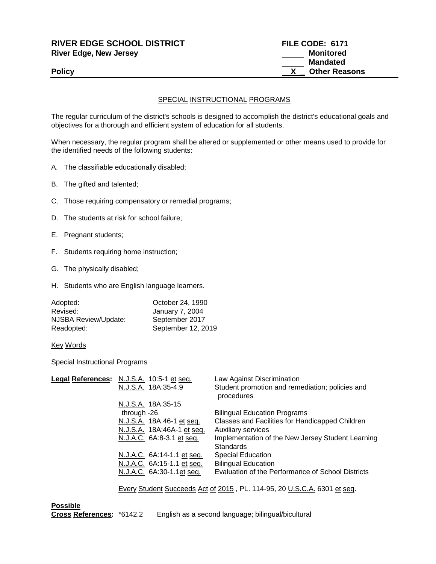| <b>RIVER EDGE SCHOOL DISTRICT</b> | FILE CODE: 6171      |
|-----------------------------------|----------------------|
| River Edge, New Jersey            | Monitored            |
|                                   | Mandated             |
| <b>Policy</b>                     | <b>Other Reasons</b> |
|                                   |                      |

## SPECIAL INSTRUCTIONAL PROGRAMS

The regular curriculum of the district's schools is designed to accomplish the district's educational goals and objectives for a thorough and efficient system of education for all students.

When necessary, the regular program shall be altered or supplemented or other means used to provide for the identified needs of the following students:

- A. The classifiable educationally disabled;
- B. The gifted and talented;
- C. Those requiring compensatory or remedial programs;
- D. The students at risk for school failure;
- E. Pregnant students;
- F. Students requiring home instruction;
- G. The physically disabled;
- H. Students who are English language learners.

| Adopted:             | October 24, 1990   |
|----------------------|--------------------|
| Revised:             | January 7, 2004    |
| NJSBA Review/Update: | September 2017     |
| Readopted:           | September 12, 2019 |

Key Words

Special Instructional Programs

| Legal References: N.J.S.A. 10:5-1 et seq. |             |                            | Law Against Discrimination                                            |
|-------------------------------------------|-------------|----------------------------|-----------------------------------------------------------------------|
|                                           |             | N.J.S.A. 18A:35-4.9        | Student promotion and remediation; policies and<br>procedures         |
|                                           |             | N.J.S.A. 18A:35-15         |                                                                       |
|                                           | through -26 |                            | <b>Bilingual Education Programs</b>                                   |
|                                           |             | N.J.S.A. 18A:46-1 et seq.  | Classes and Facilities for Handicapped Children                       |
|                                           |             | N.J.S.A. 18A:46A-1 et seq. | <b>Auxiliary services</b>                                             |
|                                           |             | N.J.A.C. 6A:8-3.1 et seq.  | Implementation of the New Jersey Student Learning<br><b>Standards</b> |
|                                           |             | N.J.A.C. 6A:14-1.1 et seq. | <b>Special Education</b>                                              |
|                                           |             | N.J.A.C. 6A:15-1.1 et seq. | <b>Bilingual Education</b>                                            |
|                                           |             | N.J.A.C. 6A:30-1.1et seq.  | Evaluation of the Performance of School Districts                     |
|                                           |             |                            |                                                                       |

Every Student Succeeds Act of 2015 , PL. 114-95, 20 U.S.C.A. 6301 et seq.

**Possible<br>Cross References:** \*6142.2 English as a second language; bilingual/bicultural